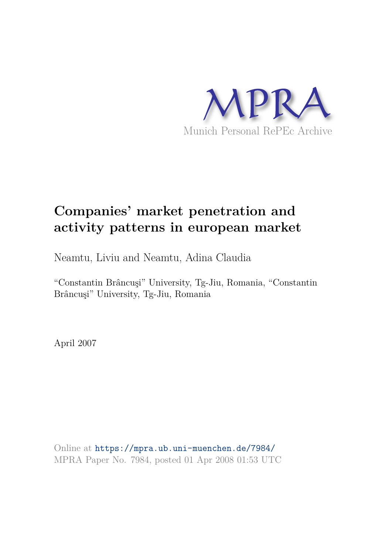

# **Companies' market penetration and activity patterns in european market**

Neamtu, Liviu and Neamtu, Adina Claudia

"Constantin Brâncuşi" University, Tg-Jiu, Romania, "Constantin Brâncuşi" University, Tg-Jiu, Romania

April 2007

Online at https://mpra.ub.uni-muenchen.de/7984/ MPRA Paper No. 7984, posted 01 Apr 2008 01:53 UTC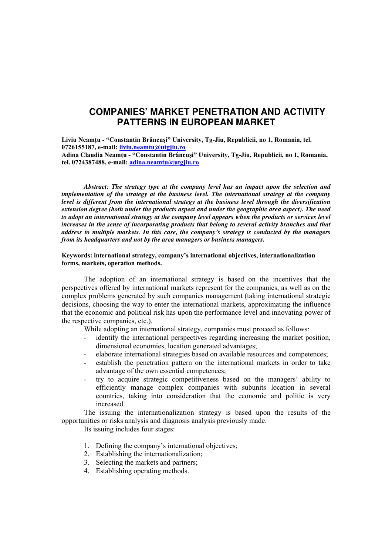## **COMPANIES' MARKET PENETRATION AND ACTIVITY PATTERNS IN EUROPEAN MARKET**

**Liviu Neamţu - "Constantin Brâncuşi" University, Tg-Jiu, Republicii, no 1, Romania, tel. 0726155187, e-mail: liviu.neamtu@utgjiu.ro**

**Adina Claudia Neamţu - "Constantin Brâncuşi" University, Tg-Jiu, Republicii, no 1, Romania, tel. 0724387488, e-mail: adina.neamtu@utgjiu.ro**

*Abstract: The strategy type at the company level has an impact upon the selection and implementation of the strategy at the business level. The international strategy at the company level is different from the international strategy at the business level through the diversification extension degree (both under the products aspect and under the geographic area aspect). The need to adopt an international strategy at the company level appears when the products or services level increases in the sense of incorporating products that belong to several activity branches and that address to multiple markets. In this case, the company's strategy is conducted by the managers from its headquarters and not by the area managers or business managers.* 

### **Keywords: international strategy, company's international objectives, internationalization forms, markets, operation methods.**

The adoption of an international strategy is based on the incentives that the perspectives offered by international markets represent for the companies, as well as on the complex problems generated by such companies management (taking international strategic decisions, choosing the way to enter the international markets, approximating the influence that the economic and political risk has upon the performance level and innovating power of the respective companies, etc.).

While adopting an international strategy, companies must proceed as follows:

- identify the international perspectives regarding increasing the market position, dimensional economies, location generated advantages;
- elaborate international strategies based on available resources and competences;
- establish the penetration pattern on the international markets in order to take advantage of the own essential competences;
- try to acquire strategic competitiveness based on the managers' ability to efficiently manage complex companies with subunits location in several countries, taking into consideration that the economic and politic is very increased.

The issuing the internationalization strategy is based upon the results of the opportunities or risks analysis and diagnosis analysis previously made.

Its issuing includes four stages:

- 1. Defining the company's international objectives;
- 2. Establishing the internationalization;
- 3. Selecting the markets and partners;
- 4. Establishing operating methods.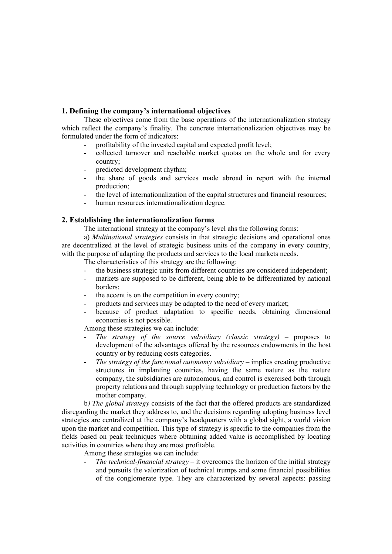## **1. Defining the company's international objectives**

These objectives come from the base operations of the internationalization strategy which reflect the company's finality. The concrete internationalization objectives may be formulated under the form of indicators:

- profitability of the invested capital and expected profit level;
- collected turnover and reachable market quotas on the whole and for every country;
- predicted development rhythm;
- the share of goods and services made abroad in report with the internal production;
- the level of internationalization of the capital structures and financial resources;
- human resources internationalization degree.

## **2. Establishing the internationalization forms**

The international strategy at the company's level ahs the following forms:

a) *Multinational strategies* consists in that strategic decisions and operational ones are decentralized at the level of strategic business units of the company in every country, with the purpose of adapting the products and services to the local markets needs.

The characteristics of this strategy are the following:

- the business strategic units from different countries are considered independent;
- markets are supposed to be different, being able to be differentiated by national borders;
- the accent is on the competition in every country;
- products and services may be adapted to the need of every market;
- because of product adaptation to specific needs, obtaining dimensional economies is not possible.

Among these strategies we can include:

- The strategy of the source subsidiary (classic strategy) proposes to development of the advantages offered by the resources endowments in the host country or by reducing costs categories.
- The strategy of the functional autonomy subsidiary implies creating productive structures in implanting countries, having the same nature as the nature company, the subsidiaries are autonomous, and control is exercised both through property relations and through supplying technology or production factors by the mother company.

b*) The global strategy* consists of the fact that the offered products are standardized disregarding the market they address to, and the decisions regarding adopting business level strategies are centralized at the company's headquarters with a global sight, a world vision upon the market and competition. This type of strategy is specific to the companies from the fields based on peak techniques where obtaining added value is accomplished by locating activities in countries where they are most profitable.

Among these strategies we can include:

The technical-financial strategy – it overcomes the horizon of the initial strategy and pursuits the valorization of technical trumps and some financial possibilities of the conglomerate type. They are characterized by several aspects: passing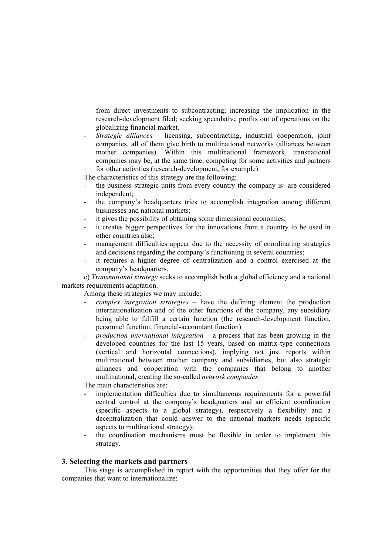from direct investments to subcontracting; increasing the implication in the research-development filed; seeking speculative profits out of operations on the globalizing financial market.

- *Strategic alliances* – licensing, subcontracting, industrial cooperation, joint companies, all of them give birth to multinational networks (alliances between mother companies). Within this multinational framework, transnational companies may be, at the same time, competing for some activities and partners for other activities (research-development, for example).

The characteristics of this strategy are the following:

- the business strategic units from every country the company is are considered independent;
- the company's headquarters tries to accomplish integration among different businesses and national markets;
- it gives the possibility of obtaining some dimensional economies;
- it creates bigger perspectives for the innovations from a country to be used in other countries also;
- management difficulties appear due to the necessity of coordinating strategies and decisions regarding the company's functioning in several countries;
- it requires a higher degree of centralization and a control exercised at the company's headquarters.

c) *Transnational strategy* seeks to accomplish both a global efficiency and a national markets requirements adaptation.

Among these strategies we may include:

- *complex integration strategies* have the defining element the production internationalization and of the other functions of the company, any subsidiary being able to fulfill a certain function (the research-development function, personnel function, financial-accountant function)
- *production international integration*  a process that has been growing in the developed countries for the last 15 years, based on matrix-type connections (vertical and horizontal connections), implying not just reports within multinational between mother company and subsidiaries, but also strategic alliances and cooperation with the companies that belong to another multinational, creating the so-called *network companies*.

The main characteristics are:

- implementation difficulties due to simultaneous requirements for a powerful central control at the company's headquarters and an efficient coordination (specific aspects to a global strategy), respectively a flexibility and a decentralization that could answer to the national markets needs (specific aspects to multinational strategy);
- the coordination mechanisms must be flexible in order to implement this strategy.

### **3. Selecting the markets and partners**

This stage is accomplished in report with the opportunities that they offer for the companies that want to internationalize: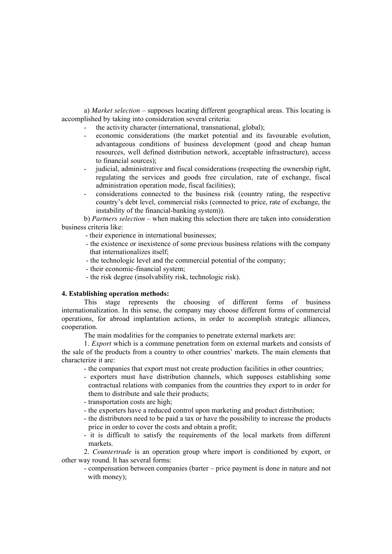a) *Market selection* – supposes locating different geographical areas. This locating is accomplished by taking into consideration several criteria:

- the activity character (international, transnational, global);
- economic considerations (the market potential and its favourable evolution, advantageous conditions of business development (good and cheap human resources, well defined distribution network, acceptable infrastructure), access to financial sources);
- judicial, administrative and fiscal considerations (respecting the ownership right, regulating the services and goods free circulation, rate of exchange, fiscal administration operation mode, fiscal facilities);
- considerations connected to the business risk (country rating, the respective country's debt level, commercial risks (connected to price, rate of exchange, the instability of the financial-banking system)).

b) *Partners selection* – when making this selection there are taken into consideration business criteria like:

- their experience in international businesses;
- the existence or inexistence of some previous business relations with the company that internationalizes itself;
- the technologic level and the commercial potential of the company;
- their economic-financial system;
- the risk degree (insolvability risk, technologic risk).

#### **4. Establishing operation methods:**

This stage represents the choosing of different forms of business internationalization. In this sense, the company may choose different forms of commercial operations, for abroad implantation actions, in order to accomplish strategic alliances, cooperation.

The main modalities for the companies to penetrate external markets are:

1. *Export* which is a commune penetration form on external markets and consists of the sale of the products from a country to other countries' markets. The main elements that characterize it are:

- the companies that export must not create production facilities in other countries;

- exporters must have distribution channels, which supposes establishing some contractual relations with companies from the countries they export to in order for them to distribute and sale their products;
- transportation costs are high;
- the exporters have a reduced control upon marketing and product distribution;
- the distributors need to be paid a tax or have the possibility to increase the products price in order to cover the costs and obtain a profit;
- it is difficult to satisfy the requirements of the local markets from different markets.

2. *Countertrade* is an operation group where import is conditioned by export, or other way round. It has several forms:

- compensation between companies (barter – price payment is done in nature and not with money);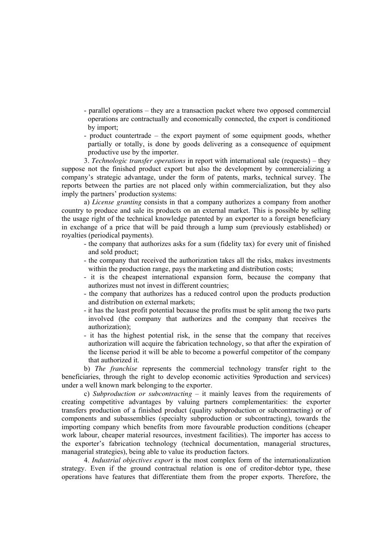- parallel operations they are a transaction packet where two opposed commercial operations are contractually and economically connected, the export is conditioned by import;
- product countertrade the export payment of some equipment goods, whether partially or totally, is done by goods delivering as a consequence of equipment productive use by the importer.

3. *Technologic transfer operations* in report with international sale (requests) – they suppose not the finished product export but also the development by commercializing a company's strategic advantage, under the form of patents, marks, technical survey. The reports between the parties are not placed only within commercialization, but they also imply the partners' production systems:

a) *License granting* consists in that a company authorizes a company from another country to produce and sale its products on an external market. This is possible by selling the usage right of the technical knowledge patented by an exporter to a foreign beneficiary in exchange of a price that will be paid through a lump sum (previously established) or royalties (periodical payments).

- the company that authorizes asks for a sum (fidelity tax) for every unit of finished and sold product;
- the company that received the authorization takes all the risks, makes investments within the production range, pays the marketing and distribution costs;
- it is the cheapest international expansion form, because the company that authorizes must not invest in different countries;
- the company that authorizes has a reduced control upon the products production and distribution on external markets;
- it has the least profit potential because the profits must be split among the two parts involved (the company that authorizes and the company that receives the authorization);
- it has the highest potential risk, in the sense that the company that receives authorization will acquire the fabrication technology, so that after the expiration of the license period it will be able to become a powerful competitor of the company that authorized it.

b) *The franchise* represents the commercial technology transfer right to the beneficiaries, through the right to develop economic activities 9production and services) under a well known mark belonging to the exporter.

c) *Subproduction or subcontracting* – it mainly leaves from the requirements of creating competitive advantages by valuing partners complementarities: the exporter transfers production of a finished product (quality subproduction or subcontracting) or of components and subassemblies (specialty subproduction or subcontracting), towards the importing company which benefits from more favourable production conditions (cheaper work labour, cheaper material resources, investment facilities). The importer has access to the exporter's fabrication technology (technical documentation, managerial structures, managerial strategies), being able to value its production factors.

4. *Industrial objectives export* is the most complex form of the internationalization strategy. Even if the ground contractual relation is one of creditor-debtor type, these operations have features that differentiate them from the proper exports. Therefore, the